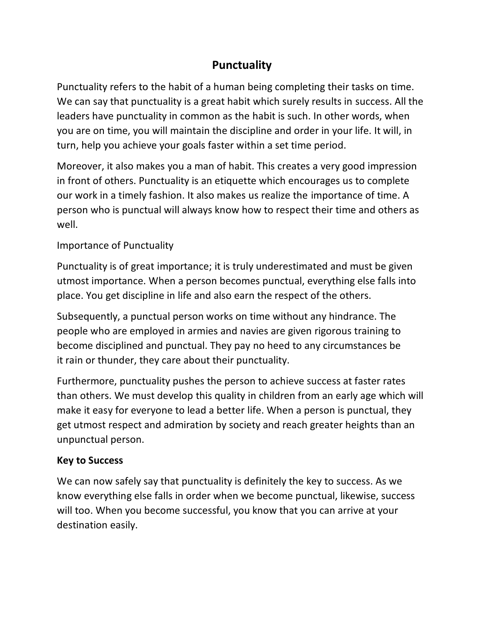## **Punctuality**

Punctuality refers to the habit of a human being completing their tasks on time. We can say that punctuality is a great habit which surely results in success. All the leaders have punctuality in common as the habit is such. In other words, when you are on time, you will maintain the discipline and order in your life. It will, in turn, help you achieve your goals faster within a set time period.

Moreover, it also makes you a man of habit. This creates a very good impression in front of others. Punctuality is an etiquette which encourages us to complete our work in a timely fashion. It also makes us realize the importance of time. A person who is punctual will always know how to respect their time and others as well.

## Importance of Punctuality

Punctuality is of great importance; it is truly underestimated and must be given utmost importance. When a person becomes punctual, everything else falls into place. You get discipline in life and also earn the respect of the others.

Subsequently, a punctual person works on time without any hindrance. The people who are employed in armies and navies are given rigorous training to become disciplined and punctual. They pay no heed to any circumstances be it rain or thunder, they care about their punctuality.

Furthermore, punctuality pushes the person to achieve success at faster rates than others. We must develop this quality in children from an early age which will make it easy for everyone to lead a better life. When a person is punctual, they get utmost respect and admiration by society and reach greater heights than an unpunctual person.

## **Key to Success**

We can now safely say that punctuality is definitely the key to success. As we know everything else falls in order when we become punctual, likewise, success will too. When you become successful, you know that you can arrive at your destination easily.